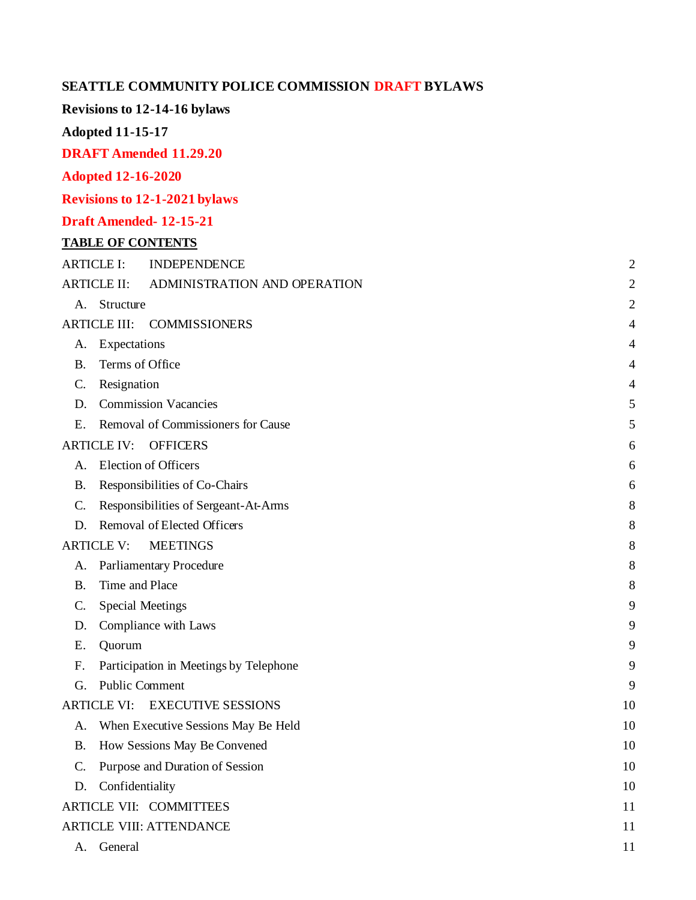## **SEATTLE COMMUNITY POLICE COMMISSION DRAFT BYLAWS**

## **Revisions to 12-14-16 bylaws**

**Adopted 11-15-17**

**DRAFT Amended 11.29.20**

## **Adopted 12-16-2020**

**Revisions to 12-1-2021 bylaws**

## **Draft Amended- 12-15-21**

## **TABLE OF CONTENTS**

| <b>ARTICLE I:</b>                    |                                 | <b>INDEPENDENCE</b>                    | $\overline{c}$ |
|--------------------------------------|---------------------------------|----------------------------------------|----------------|
| <b>ARTICLE II:</b>                   |                                 | ADMINISTRATION AND OPERATION           | $\overline{c}$ |
| A.                                   | Structure                       |                                        | $\overline{c}$ |
|                                      | <b>ARTICLE III:</b>             | <b>COMMISSIONERS</b>                   | 4              |
| А.                                   | Expectations                    |                                        | 4              |
| <b>B.</b>                            | Terms of Office                 |                                        |                |
| C.                                   | Resignation                     |                                        |                |
| D.                                   |                                 | <b>Commission Vacancies</b>            | 5              |
| Ε.                                   |                                 | Removal of Commissioners for Cause     | 5              |
|                                      | <b>ARTICLE IV:</b>              | <b>OFFICERS</b>                        | 6              |
| A.                                   |                                 | <b>Election of Officers</b>            | 6              |
| <b>B.</b>                            | Responsibilities of Co-Chairs   |                                        |                |
| C.                                   |                                 | Responsibilities of Sergeant-At-Arms   | 8              |
| D.                                   |                                 | Removal of Elected Officers            | 8              |
| <b>ARTICLE V:</b><br><b>MEETINGS</b> |                                 |                                        |                |
| A.                                   |                                 | Parliamentary Procedure                | 8              |
| <b>B.</b>                            | Time and Place                  |                                        |                |
| $\mathcal{C}$ .                      | <b>Special Meetings</b>         |                                        |                |
| D.                                   | Compliance with Laws            |                                        |                |
| E.                                   | Quorum                          |                                        | 9              |
| $F_{\cdot}$                          |                                 | Participation in Meetings by Telephone | 9              |
| G.                                   | <b>Public Comment</b>           |                                        | 9              |
|                                      |                                 | ARTICLE VI: EXECUTIVE SESSIONS         | 10             |
| А.                                   |                                 | When Executive Sessions May Be Held    | 10             |
| <b>B.</b>                            |                                 | How Sessions May Be Convened           | 10             |
| $C_{\cdot}$                          |                                 | Purpose and Duration of Session        | 10             |
| D.                                   | Confidentiality                 |                                        | 10             |
| <b>ARTICLE VII: COMMITTEES</b>       |                                 |                                        |                |
|                                      | <b>ARTICLE VIII: ATTENDANCE</b> |                                        |                |

A. [General](#page-13-2) 11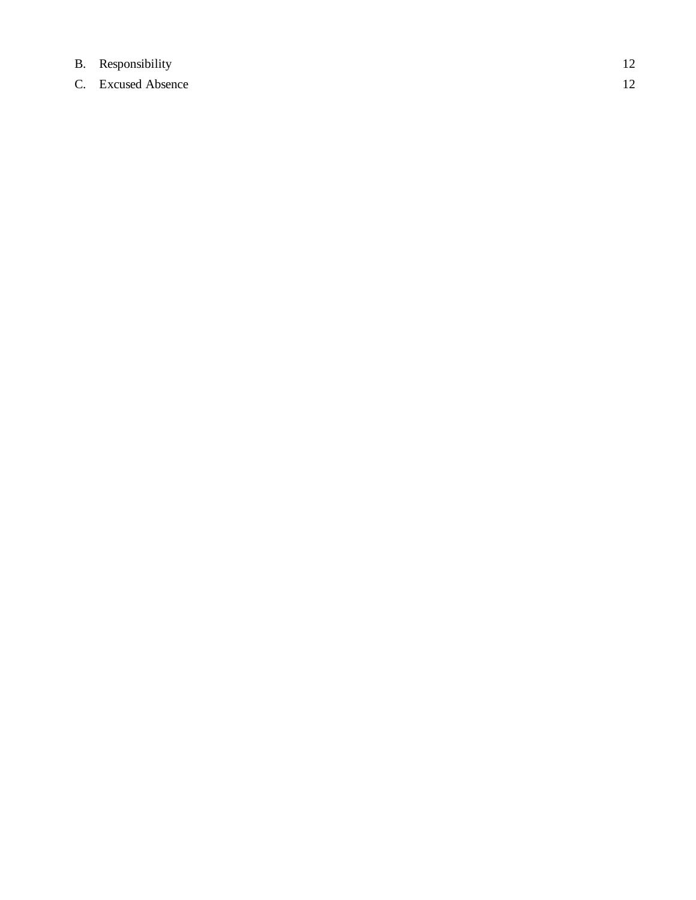# B. [Responsibility](#page-17-0) 12

C. Excused Absence 12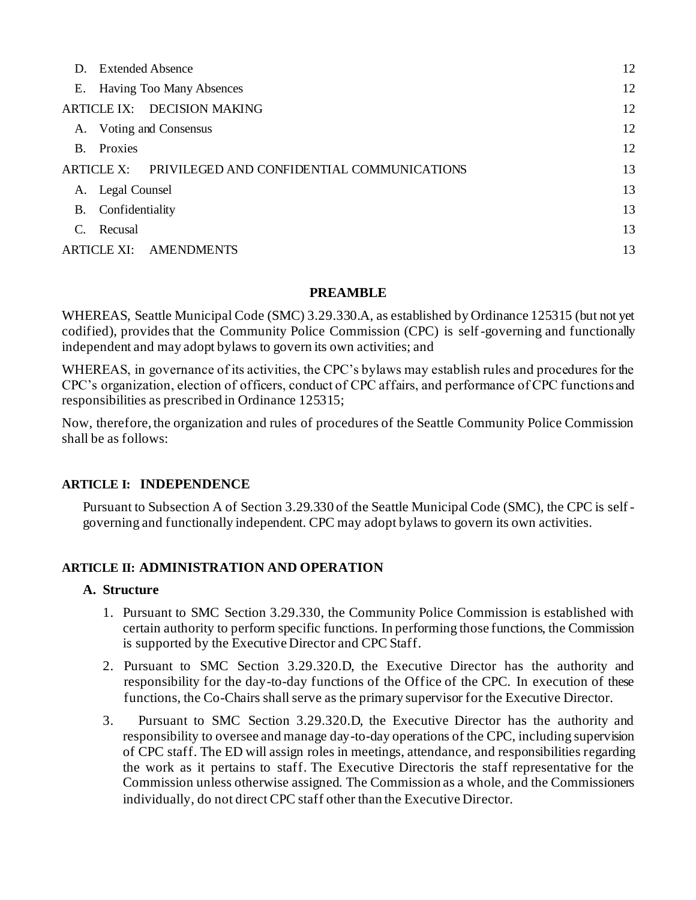|            | D. Extended Absence |                                            | 12 |
|------------|---------------------|--------------------------------------------|----|
|            |                     | E. Having Too Many Absences                | 12 |
|            |                     | ARTICLE IX: DECISION MAKING                | 12 |
| A.         |                     | Voting and Consensus                       | 12 |
| <b>B.</b>  | Proxies             |                                            | 12 |
| ARTICLE X: |                     | PRIVILEGED AND CONFIDENTIAL COMMUNICATIONS | 13 |
|            | A. Legal Counsel    |                                            | 13 |
| B.         | Confidentiality     |                                            | 13 |
| C.         | Recusal             |                                            | 13 |
|            |                     | ARTICLE XI: AMENDMENTS                     | 13 |

## **PREAMBLE**

WHEREAS, Seattle Municipal Code (SMC) 3.29.330.A, as established by Ordinance 125315 (but not yet codified), provides that the Community Police Commission (CPC) is self-governing and functionally independent and may adopt bylaws to govern its own activities; and

WHEREAS, in governance of its activities, the CPC's bylaws may establish rules and procedures for the CPC's organization, election of officers, conduct of CPC affairs, and performance of CPC functions and responsibilities as prescribed in Ordinance 125315;

Now, therefore, the organization and rules of procedures of the Seattle Community Police Commission shall be as follows:

## <span id="page-2-0"></span>**ARTICLE I: INDEPENDENCE**

Pursuant to Subsection A of Section 3.29.330 of the Seattle Municipal Code (SMC), the CPC is selfgoverning and functionally independent. CPC may adopt bylaws to govern its own activities.

## <span id="page-2-2"></span><span id="page-2-1"></span>**ARTICLE II: ADMINISTRATION AND OPERATION**

#### **A. Structure**

- 1. Pursuant to SMC Section 3.29.330, the Community Police Commission is established with certain authority to perform specific functions. In performing those functions, the Commission is supported by the Executive Director and CPC Staff.
- 2. Pursuant to SMC Section 3.29.320.D, the Executive Director has the authority and responsibility for the day-to-day functions of the Office of the CPC. In execution of these functions, the Co-Chairs shall serve as the primary supervisor for the Executive Director.
- 3. Pursuant to SMC Section 3.29.320.D, the Executive Director has the authority and responsibility to oversee and manage day-to-day operations of the CPC, including supervision of CPC staff. The ED will assign roles in meetings, attendance, and responsibilities regarding the work as it pertains to staff. The Executive Directoris the staff representative for the Commission unless otherwise assigned. The Commission as a whole, and the Commissioners individually, do not direct CPC staff other than the Executive Director.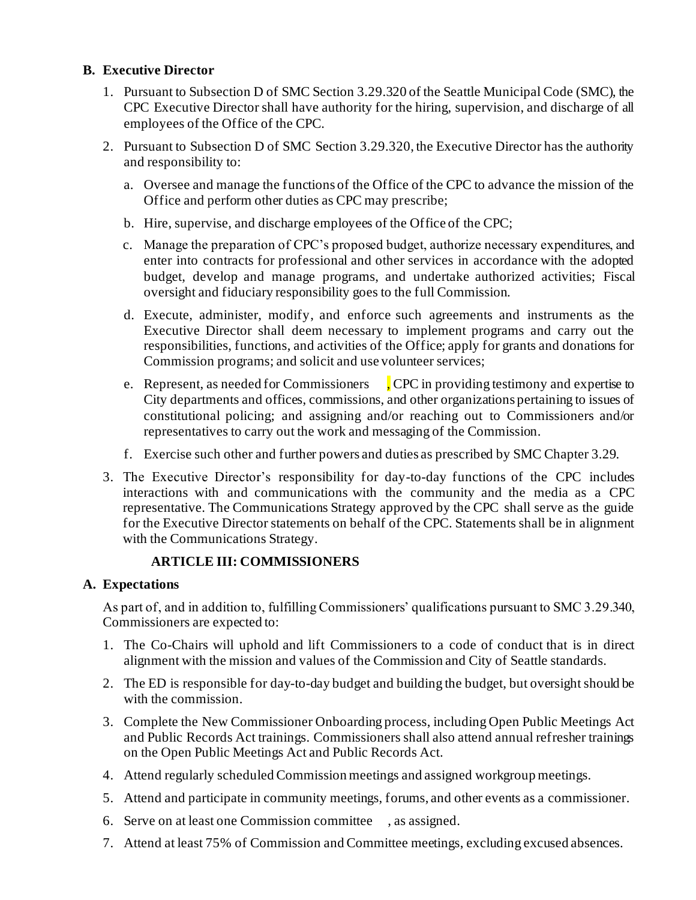## **B. Executive Director**

- 1. Pursuant to Subsection D of SMC Section 3.29.320 of the Seattle Municipal Code (SMC), the CPC Executive Director shall have authority for the hiring, supervision, and discharge of all employees of the Office of the CPC.
- 2. Pursuant to Subsection D of SMC Section 3.29.320, the Executive Director has the authority and responsibility to:
	- a. Oversee and manage the functions of the Office of the CPC to advance the mission of the Office and perform other duties as CPC may prescribe;
	- b. Hire, supervise, and discharge employees of the Office of the CPC;
	- c. Manage the preparation of CPC's proposed budget, authorize necessary expenditures, and enter into contracts for professional and other services in accordance with the adopted budget, develop and manage programs, and undertake authorized activities; Fiscal oversight and fiduciary responsibility goes to the full Commission.
	- d. Execute, administer, modify, and enforce such agreements and instruments as the Executive Director shall deem necessary to implement programs and carry out the responsibilities, functions, and activities of the Office; apply for grants and donations for Commission programs; and solicit and use volunteer services;
	- e. Represent, as needed for Commissioners , CPC in providing testimony and expertise to City departments and offices, commissions, and other organizations pertaining to issues of constitutional policing; and assigning and/or reaching out to Commissioners and/or representatives to carry out the work and messaging of the Commission.
	- f. Exercise such other and further powers and duties as prescribed by SMC Chapter 3.29.
- 3. The Executive Director's responsibility for day-to-day functions of the CPC includes interactions with and communications with the community and the media as a CPC representative. The Communications Strategy approved by the CPC shall serve as the guide for the Executive Director statements on behalf of the CPC. Statements shall be in alignment with the Communications Strategy.

## <span id="page-3-0"></span> **ARTICLE III: COMMISSIONERS**

## <span id="page-3-1"></span>**A. Expectations**

As part of, and in addition to, fulfilling Commissioners' qualifications pursuant to SMC 3.29.340, Commissioners are expected to:

- 1. The Co-Chairs will uphold and lift Commissioners to a code of conduct that is in direct alignment with the mission and values of the Commission and City of Seattle standards.
- 2. The ED is responsible for day-to-day budget and building the budget, but oversight should be with the commission.
- 3. Complete the New Commissioner Onboarding process, including Open Public Meetings Act and Public Records Act trainings. Commissioners shall also attend annual refresher trainings on the Open Public Meetings Act and Public Records Act.
- 4. Attend regularly scheduled Commission meetings and assigned workgroup meetings.
- 5. Attend and participate in community meetings, forums, and other events as a commissioner.
- 6. Serve on at least one Commission committee , as assigned.
- 7. Attend at least 75% of Commission and Committee meetings, excluding excused absences.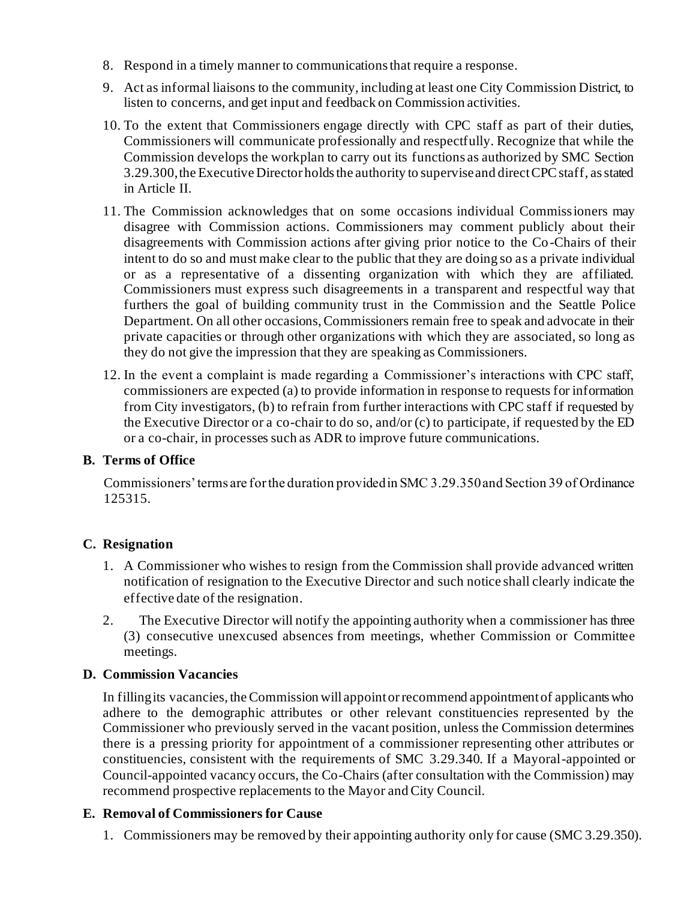- 8. Respond in a timely manner to communications that require a response.
- 9. Act as informal liaisons to the community, including at least one City Commission District, to listen to concerns, and get input and feedback on Commission activities.
- 10. To the extent that Commissioners engage directly with CPC staff as part of their duties, Commissioners will communicate professionally and respectfully. Recognize that while the Commission develops the workplan to carry out its functions as authorized by SMC Section 3.29.300, the Executive Director holds the authority to supervise and direct CPC staff, as stated in Article II.
- 11. The Commission acknowledges that on some occasions individual Commissioners may disagree with Commission actions. Commissioners may comment publicly about their disagreements with Commission actions after giving prior notice to the Co-Chairs of their intent to do so and must make clear to the public that they are doing so as a private individual or as a representative of a dissenting organization with which they are affiliated. Commissioners must express such disagreements in a transparent and respectful way that furthers the goal of building community trust in the Commission and the Seattle Police Department. On all other occasions, Commissioners remain free to speak and advocate in their private capacities or through other organizations with which they are associated, so long as they do not give the impression that they are speaking as Commissioners.
- 12. In the event a complaint is made regarding a Commissioner's interactions with CPC staff, commissioners are expected (a) to provide information in response to requests for information from City investigators, (b) to refrain from further interactions with CPC staff if requested by the Executive Director or a co-chair to do so, and/or (c) to participate, if requested by the ED or a co-chair, in processes such as ADR to improve future communications.

## <span id="page-4-0"></span>**B. Terms of Office**

Commissioners' terms are for the duration provided in SMC 3.29.350 and Section 39 of Ordinance 125315.

## <span id="page-4-1"></span>**C. Resignation**

- 1. A Commissioner who wishes to resign from the Commission shall provide advanced written notification of resignation to the Executive Director and such notice shall clearly indicate the effective date of the resignation.
- 2. The Executive Director will notify the appointing authority when a commissioner has three (3) consecutive unexcused absences from meetings, whether Commission or Committee meetings.

#### **D. Commission Vacancies**

In filling its vacancies, the Commission will appoint or recommend appointment of applicants who adhere to the demographic attributes or other relevant constituencies represented by the Commissioner who previously served in the vacant position, unless the Commission determines there is a pressing priority for appointment of a commissioner representing other attributes or constituencies, consistent with the requirements of SMC 3.29.340. If a Mayoral-appointed or Council-appointed vacancy occurs, the Co-Chairs (after consultation with the Commission) may recommend prospective replacements to the Mayor and City Council.

#### **E. Removal of Commissioners for Cause**

1. Commissioners may be removed by their appointing authority only for cause (SMC 3.29.350).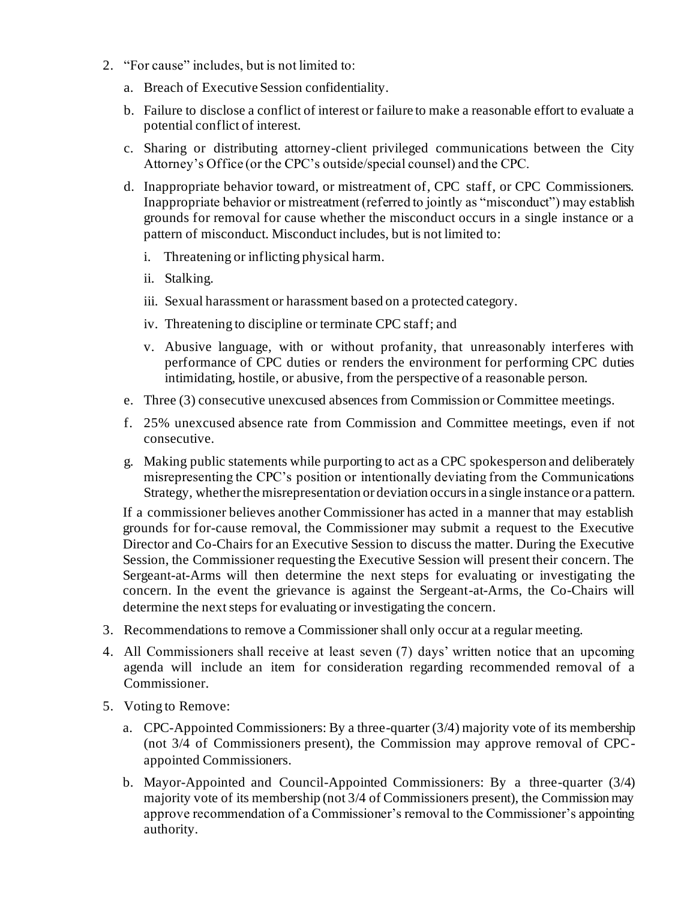- 2. "For cause" includes, but is not limited to:
	- a. Breach of Executive Session confidentiality.
	- b. Failure to disclose a conflict of interest or failure to make a reasonable effort to evaluate a potential conflict of interest.
	- c. Sharing or distributing attorney-client privileged communications between the City Attorney's Office (or the CPC's outside/special counsel) and the CPC.
	- d. Inappropriate behavior toward, or mistreatment of, CPC staff, or CPC Commissioners. Inappropriate behavior or mistreatment (referred to jointly as "misconduct") may establish grounds for removal for cause whether the misconduct occurs in a single instance or a pattern of misconduct. Misconduct includes, but is not limited to:
		- i. Threatening or inflicting physical harm.
		- ii. Stalking.
		- iii. Sexual harassment or harassment based on a protected category.
		- iv. Threatening to discipline or terminate CPC staff; and
		- v. Abusive language, with or without profanity, that unreasonably interferes with performance of CPC duties or renders the environment for performing CPC duties intimidating, hostile, or abusive, from the perspective of a reasonable person.
	- e. Three (3) consecutive unexcused absences from Commission or Committee meetings.
	- f. 25% unexcused absence rate from Commission and Committee meetings, even if not consecutive.
	- g. Making public statements while purporting to act as a CPC spokesperson and deliberately misrepresenting the CPC's position or intentionally deviating from the Communications Strategy, whether the misrepresentation or deviation occurs in a single instance or a pattern.

If a commissioner believes another Commissioner has acted in a manner that may establish grounds for for-cause removal, the Commissioner may submit a request to the Executive Director and Co-Chairs for an Executive Session to discuss the matter. During the Executive Session, the Commissioner requesting the Executive Session will present their concern. The Sergeant-at-Arms will then determine the next steps for evaluating or investigating the concern. In the event the grievance is against the Sergeant-at-Arms, the Co-Chairs will determine the next steps for evaluating or investigating the concern.

- 3. Recommendations to remove a Commissioner shall only occur at a regular meeting.
- 4. All Commissioners shall receive at least seven (7) days' written notice that an upcoming agenda will include an item for consideration regarding recommended removal of a Commissioner.
- 5. Voting to Remove:
	- a. CPC-Appointed Commissioners: By a three-quarter (3/4) majority vote of its membership (not 3/4 of Commissioners present), the Commission may approve removal of CPCappointed Commissioners.
	- b. Mayor-Appointed and Council-Appointed Commissioners: By a three-quarter (3/4) majority vote of its membership (not 3/4 of Commissioners present), the Commission may approve recommendation of a Commissioner's removal to the Commissioner's appointing authority.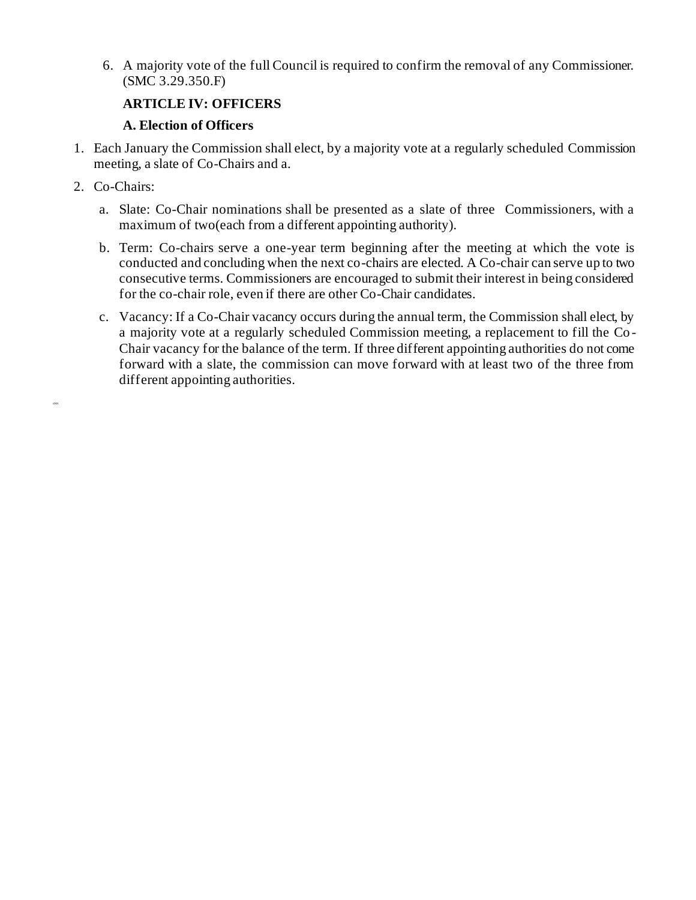6. A majority vote of the full Council is required to confirm the removal of any Commissioner. (SMC 3.29.350.F)

## **ARTICLE IV: OFFICERS**

## **A. Election of Officers**

- 1. Each January the Commission shall elect, by a majority vote at a regularly scheduled Commission meeting, a slate of Co-Chairs and a.
- 2. Co-Chairs:

iINN

- a. Slate: Co-Chair nominations shall be presented as a slate of three Commissioners, with a maximum of two(each from a different appointing authority).
- b. Term: Co-chairs serve a one-year term beginning after the meeting at which the vote is conducted and concluding when the next co-chairs are elected. A Co-chair can serve up to two consecutive terms. Commissioners are encouraged to submit their interest in being considered for the co-chair role, even if there are other Co-Chair candidates.
- c. Vacancy: If a Co-Chair vacancy occurs during the annual term, the Commission shall elect, by a majority vote at a regularly scheduled Commission meeting, a replacement to fill the Co - Chair vacancy for the balance of the term. If three different appointing authorities do not come forward with a slate, the commission can move forward with at least two of the three from different appointing authorities.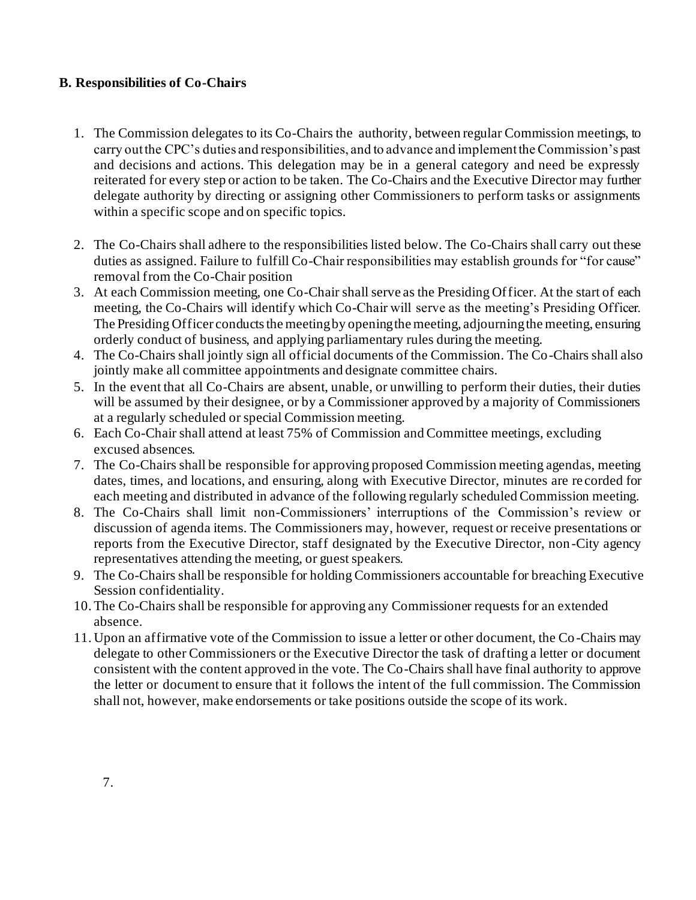## **B. Responsibilities of Co-Chairs**

- 1. The Commission delegates to its Co-Chairs the authority, between regular Commission meetings, to carry out the CPC's duties and responsibilities, and to advance and implement the Commission's past and decisions and actions. This delegation may be in a general category and need be expressly reiterated for every step or action to be taken. The Co-Chairs and the Executive Director may further delegate authority by directing or assigning other Commissioners to perform tasks or assignments within a specific scope and on specific topics.
- 2. The Co-Chairs shall adhere to the responsibilities listed below. The Co-Chairs shall carry out these duties as assigned. Failure to fulfill Co-Chair responsibilities may establish grounds for "for cause" removal from the Co-Chair position
- 3. At each Commission meeting, one Co-Chair shall serve as the Presiding Officer. At the start of each meeting, the Co-Chairs will identify which Co-Chair will serve as the meeting's Presiding Officer. The Presiding Officer conducts the meeting by opening the meeting, adjourning the meeting, ensuring orderly conduct of business, and applying parliamentary rules during the meeting.
- 4. The Co-Chairs shall jointly sign all official documents of the Commission. The Co-Chairs shall also jointly make all committee appointments and designate committee chairs.
- 5. In the event that all Co-Chairs are absent, unable, or unwilling to perform their duties, their duties will be assumed by their designee, or by a Commissioner approved by a majority of Commissioners at a regularly scheduled or special Commission meeting.
- 6. Each Co-Chair shall attend at least 75% of Commission and Committee meetings, excluding excused absences.
- 7. The Co-Chairs shall be responsible for approving proposed Commission meeting agendas, meeting dates, times, and locations, and ensuring, along with Executive Director, minutes are re corded for each meeting and distributed in advance of the following regularly scheduled Commission meeting.
- 8. The Co-Chairs shall limit non-Commissioners' interruptions of the Commission's review or discussion of agenda items. The Commissioners may, however, request or receive presentations or reports from the Executive Director, staff designated by the Executive Director, non -City agency representatives attending the meeting, or guest speakers.
- 9. The Co-Chairs shall be responsible for holding Commissioners accountable for breaching Executive Session confidentiality.
- 10.The Co-Chairs shall be responsible for approving any Commissioner requests for an extended absence.
- 11. Upon an affirmative vote of the Commission to issue a letter or other document, the Co-Chairs may delegate to other Commissioners or the Executive Director the task of drafting a letter or document consistent with the content approved in the vote. The Co-Chairs shall have final authority to approve the letter or document to ensure that it follows the intent of the full commission. The Commission shall not, however, make endorsements or take positions outside the scope of its work.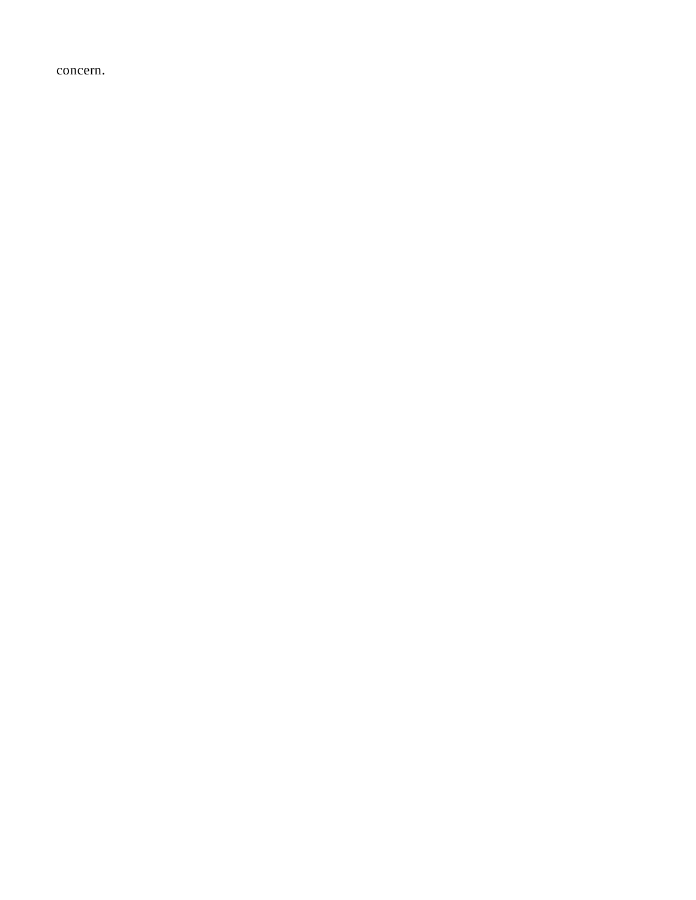<span id="page-9-0"></span>concern.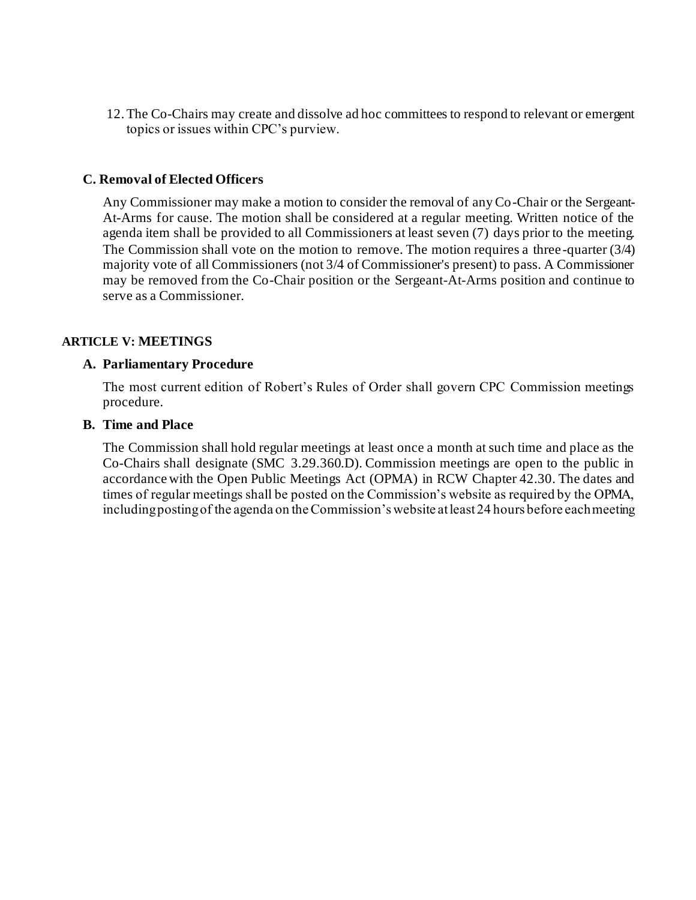12.The Co-Chairs may create and dissolve ad hoc committees to respond to relevant or emergent topics or issues within CPC's purview.

#### <span id="page-10-0"></span>**C. Removal of Elected Officers**

Any Commissioner may make a motion to consider the removal of any Co-Chair or the Sergeant-At-Arms for cause. The motion shall be considered at a regular meeting. Written notice of the agenda item shall be provided to all Commissioners at least seven (7) days prior to the meeting. The Commission shall vote on the motion to remove. The motion requires a three -quarter (3/4) majority vote of all Commissioners (not 3/4 of Commissioner's present) to pass. A Commissioner may be removed from the Co-Chair position or the Sergeant-At-Arms position and continue to serve as a Commissioner.

#### <span id="page-10-2"></span><span id="page-10-1"></span>**ARTICLE V: MEETINGS**

#### **A. Parliamentary Procedure**

The most current edition of Robert's Rules of Order shall govern CPC Commission meetings procedure.

#### <span id="page-10-3"></span>**B. Time and Place**

The Commission shall hold regular meetings at least once a month at such time and place as the Co-Chairs shall designate (SMC 3.29.360.D). Commission meetings are open to the public in accordance with the Open Public Meetings Act (OPMA) in RCW Chapter 42.30. The dates and times of regular meetings shall be posted on the Commission's website as required by the OPMA, including posting of the agenda on the Commission's website at least 24 hours before each meeting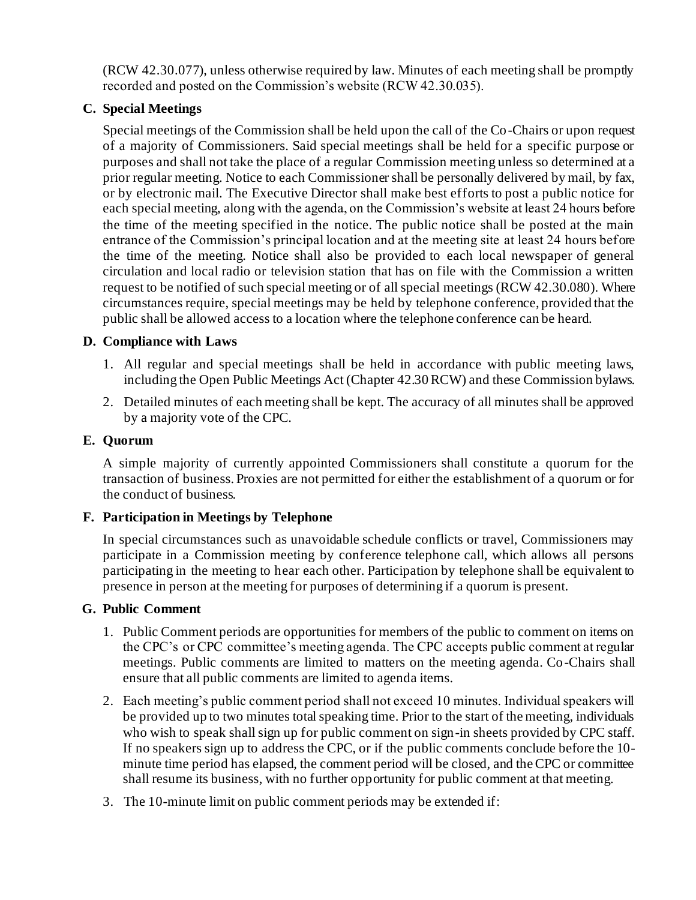(RCW 42.30.077), unless otherwise required by law. Minutes of each meeting shall be promptly recorded and posted on the Commission's website (RCW 42.30.035).

## <span id="page-11-0"></span>**C. Special Meetings**

Special meetings of the Commission shall be held upon the call of the Co-Chairs or upon request of a majority of Commissioners. Said special meetings shall be held for a specific purpose or purposes and shall not take the place of a regular Commission meeting unless so determined at a prior regular meeting. Notice to each Commissioner shall be personally delivered by mail, by fax, or by electronic mail. The Executive Director shall make best efforts to post a public notice for each special meeting, along with the agenda, on the Commission's website at least 24 hours before the time of the meeting specified in the notice. The public notice shall be posted at the main entrance of the Commission's principal location and at the meeting site at least 24 hours before the time of the meeting. Notice shall also be provided to each local newspaper of general circulation and local radio or television station that has on file with the Commission a written request to be notified of such special meeting or of all special meetings (RCW 42.30.080). Where circumstances require, special meetings may be held by telephone conference, provided that the public shall be allowed access to a location where the telephone conference can be heard.

## <span id="page-11-1"></span>**D. Compliance with Laws**

- 1. All regular and special meetings shall be held in accordance with public meeting laws, including the Open Public Meetings Act (Chapter 42.30 RCW) and these Commission bylaws.
- 2. Detailed minutes of each meeting shall be kept. The accuracy of all minutes shall be approved by a majority vote of the CPC.

## <span id="page-11-2"></span>**E. Quorum**

A simple majority of currently appointed Commissioners shall constitute a quorum for the transaction of business. Proxies are not permitted for either the establishment of a quorum or for the conduct of business.

## <span id="page-11-3"></span>**F. Participation in Meetings by Telephone**

In special circumstances such as unavoidable schedule conflicts or travel, Commissioners may participate in a Commission meeting by conference telephone call, which allows all persons participating in the meeting to hear each other. Participation by telephone shall be equivalent to presence in person at the meeting for purposes of determining if a quorum is present.

#### <span id="page-11-4"></span>**G. Public Comment**

- 1. Public Comment periods are opportunities for members of the public to comment on items on the CPC's or CPC committee's meeting agenda. The CPC accepts public comment at regular meetings. Public comments are limited to matters on the meeting agenda. Co-Chairs shall ensure that all public comments are limited to agenda items.
- 2. Each meeting's public comment period shall not exceed 10 minutes. Individual speakers will be provided up to two minutes total speaking time. Prior to the start of the meeting, individuals who wish to speak shall sign up for public comment on sign-in sheets provided by CPC staff. If no speakers sign up to address the CPC, or if the public comments conclude before the 10 minute time period has elapsed, the comment period will be closed, and the CPC or committee shall resume its business, with no further opportunity for public comment at that meeting.
- 3. The 10-minute limit on public comment periods may be extended if: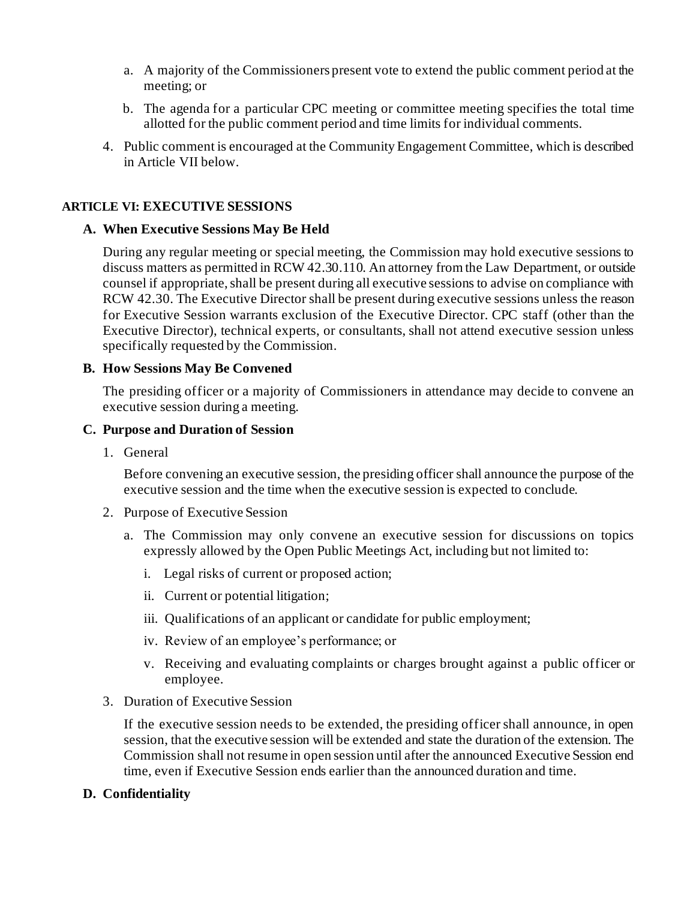- a. A majority of the Commissioners present vote to extend the public comment period at the meeting; or
- b. The agenda for a particular CPC meeting or committee meeting specifies the total time allotted for the public comment period and time limits for individual comments.
- 4. Public comment is encouraged at the Community Engagement Committee, which is described in Article VII below.

## <span id="page-12-1"></span><span id="page-12-0"></span>**ARTICLE VI: EXECUTIVE SESSIONS**

## **A. When Executive Sessions May Be Held**

During any regular meeting or special meeting, the Commission may hold executive sessions to discuss matters as permitted in RCW 42.30.110. An attorney from the Law Department, or outside counsel if appropriate, shall be present during all executive sessions to advise on compliance with RCW 42.30. The Executive Director shall be present during executive sessions unless the reason for Executive Session warrants exclusion of the Executive Director. CPC staff (other than the Executive Director), technical experts, or consultants, shall not attend executive session unless specifically requested by the Commission.

## <span id="page-12-2"></span>**B. How Sessions May Be Convened**

The presiding officer or a majority of Commissioners in attendance may decide to convene an executive session during a meeting.

#### <span id="page-12-3"></span>**C. Purpose and Duration of Session**

1. General

Before convening an executive session, the presiding officer shall announce the purpose of the executive session and the time when the executive session is expected to conclude.

- 2. Purpose of Executive Session
	- a. The Commission may only convene an executive session for discussions on topics expressly allowed by the Open Public Meetings Act, including but not limited to:
		- i. Legal risks of current or proposed action;
		- ii. Current or potential litigation;
		- iii. Qualifications of an applicant or candidate for public employment;
		- iv. Review of an employee's performance; or
		- v. Receiving and evaluating complaints or charges brought against a public officer or employee.
- 3. Duration of Executive Session

If the executive session needs to be extended, the presiding officer shall announce, in open session, that the executive session will be extended and state the duration of the extension. The Commission shall not resume in open session until after the announced Executive Session end time, even if Executive Session ends earlier than the announced duration and time.

## <span id="page-12-4"></span>**D. Confidentiality**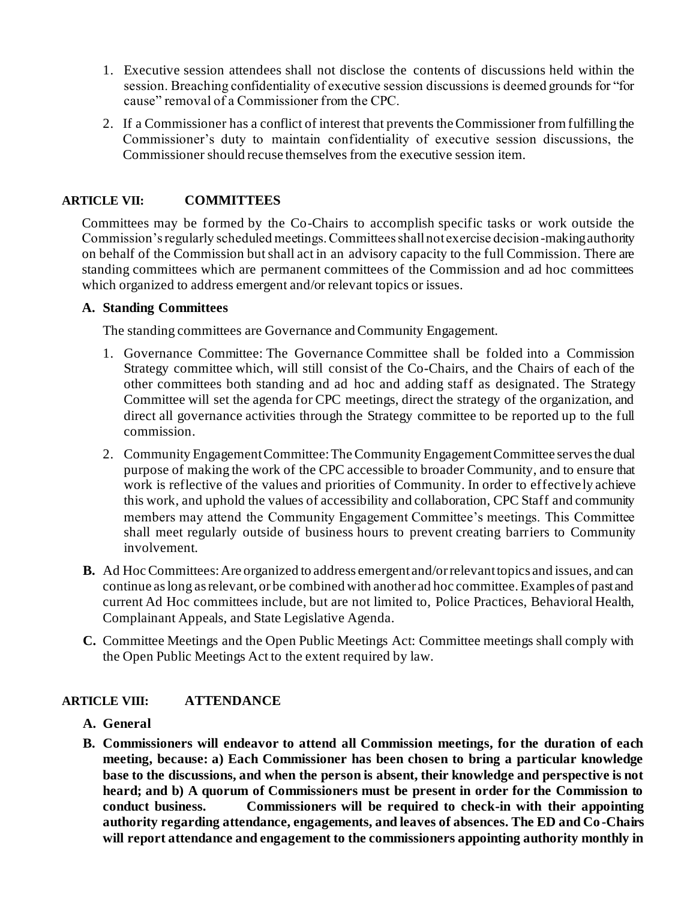- 1. Executive session attendees shall not disclose the contents of discussions held within the session. Breaching confidentiality of executive session discussions is deemed grounds for "for cause" removal of a Commissioner from the CPC.
- 2. If a Commissioner has a conflict of interest that prevents the Commissioner from fulfilling the Commissioner's duty to maintain confidentiality of executive session discussions, the Commissioner should recuse themselves from the executive session item.

## <span id="page-13-0"></span>**ARTICLE VII: COMMITTEES**

Committees may be formed by the Co-Chairs to accomplish specific tasks or work outside the Commission's regularly scheduled meetings. Committees shall not exercise decision-making authority on behalf of the Commission but shall act in an advisory capacity to the full Commission. There are standing committees which are permanent committees of the Commission and ad hoc committees which organized to address emergent and/or relevant topics or issues.

#### **A. Standing Committees**

The standing committees are Governance and Community Engagement.

- 1. Governance Committee: The Governance Committee shall be folded into a Commission Strategy committee which, will still consist of the Co-Chairs, and the Chairs of each of the other committees both standing and ad hoc and adding staff as designated. The Strategy Committee will set the agenda for CPC meetings, direct the strategy of the organization, and direct all governance activities through the Strategy committee to be reported up to the full commission.
- 2. Community Engagement Committee: The Community Engagement Committee serves the dual purpose of making the work of the CPC accessible to broader Community, and to ensure that work is reflective of the values and priorities of Community. In order to effective ly achieve this work, and uphold the values of accessibility and collaboration, CPC Staff and community members may attend the Community Engagement Committee's meetings. This Committee shall meet regularly outside of business hours to prevent creating barriers to Community involvement.
- **B.** Ad Hoc Committees: Are organized to address emergent and/or relevant topics and issues, and can continue as long as relevant, or be combined with another ad hoc committee. Examples of past and current Ad Hoc committees include, but are not limited to, Police Practices, Behavioral Health, Complainant Appeals, and State Legislative Agenda.
- **C.** Committee Meetings and the Open Public Meetings Act: Committee meetings shall comply with the Open Public Meetings Act to the extent required by law.

## <span id="page-13-2"></span><span id="page-13-1"></span>**ARTICLE VIII: ATTENDANCE**

- **A. General**
- **B. Commissioners will endeavor to attend all Commission meetings, for the duration of each meeting, because: a) Each Commissioner has been chosen to bring a particular knowledge base to the discussions, and when the person is absent, their knowledge and perspective is not heard; and b) A quorum of Commissioners must be present in order for the Commission to conduct business. Commissioners will be required to check-in with their appointing authority regarding attendance, engagements, and leaves of absences. The ED and Co-Chairs will report attendance and engagement to the commissioners appointing authority monthly in**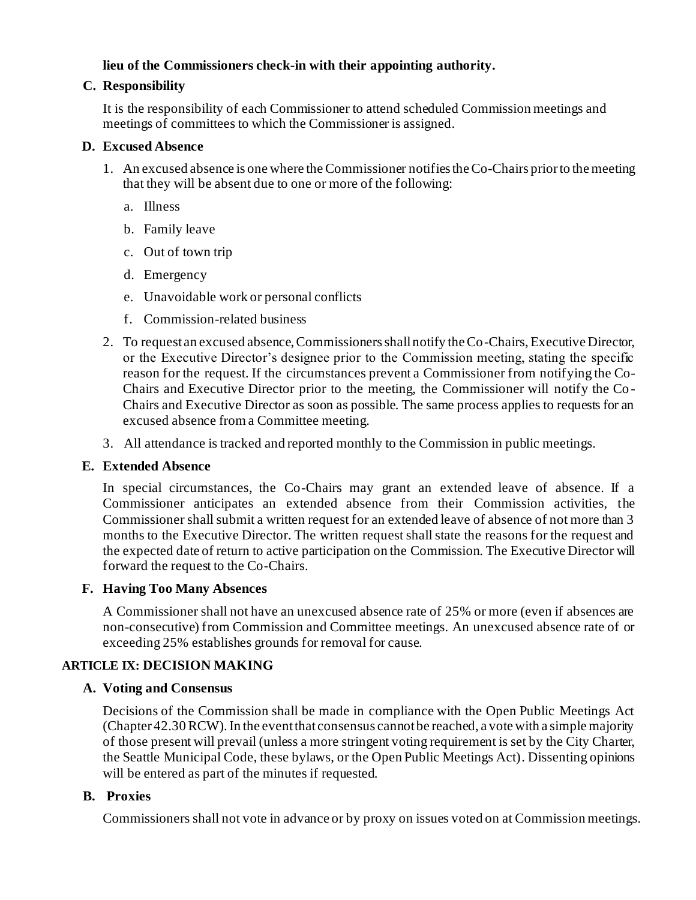## **lieu of the Commissioners check-in with their appointing authority.**

## **C. Responsibility**

It is the responsibility of each Commissioner to attend scheduled Commission meetings and meetings of committees to which the Commissioner is assigned.

## **D. Excused Absence**

- 1. An excused absence is one where the Commissioner notifies the Co-Chairs prior to the meeting that they will be absent due to one or more of the following:
	- a. Illness
	- b. Family leave
	- c. Out of town trip
	- d. Emergency
	- e. Unavoidable work or personal conflicts
	- f. Commission-related business
- 2. To request an excused absence, Commissioners shall notify the Co-Chairs, Executive Director, or the Executive Director's designee prior to the Commission meeting, stating the specific reason for the request. If the circumstances prevent a Commissioner from notifying the Co-Chairs and Executive Director prior to the meeting, the Commissioner will notify the Co - Chairs and Executive Director as soon as possible. The same process applies to requests for an excused absence from a Committee meeting.
- 3. All attendance is tracked and reported monthly to the Commission in public meetings.

#### **E. Extended Absence**

In special circumstances, the Co-Chairs may grant an extended leave of absence. If a Commissioner anticipates an extended absence from their Commission activities, the Commissioner shall submit a written request for an extended leave of absence of not more than 3 months to the Executive Director. The written request shall state the reasons for the request and the expected date of return to active participation on the Commission. The Executive Director will forward the request to the Co-Chairs.

#### **F. Having Too Many Absences**

A Commissioner shall not have an unexcused absence rate of 25% or more (even if absences are non-consecutive) from Commission and Committee meetings. An unexcused absence rate of or exceeding 25% establishes grounds for removal for cause.

## **ARTICLE IX: DECISION MAKING**

## **A. Voting and Consensus**

Decisions of the Commission shall be made in compliance with the Open Public Meetings Act (Chapter 42.30 RCW). In the event that consensus cannot be reached, a vote with a simple majority of those present will prevail (unless a more stringent voting requirement is set by the City Charter, the Seattle Municipal Code, these bylaws, or the Open Public Meetings Act). Dissenting opinions will be entered as part of the minutes if requested.

## **B. Proxies**

Commissioners shall not vote in advance or by proxy on issues voted on at Commission meetings.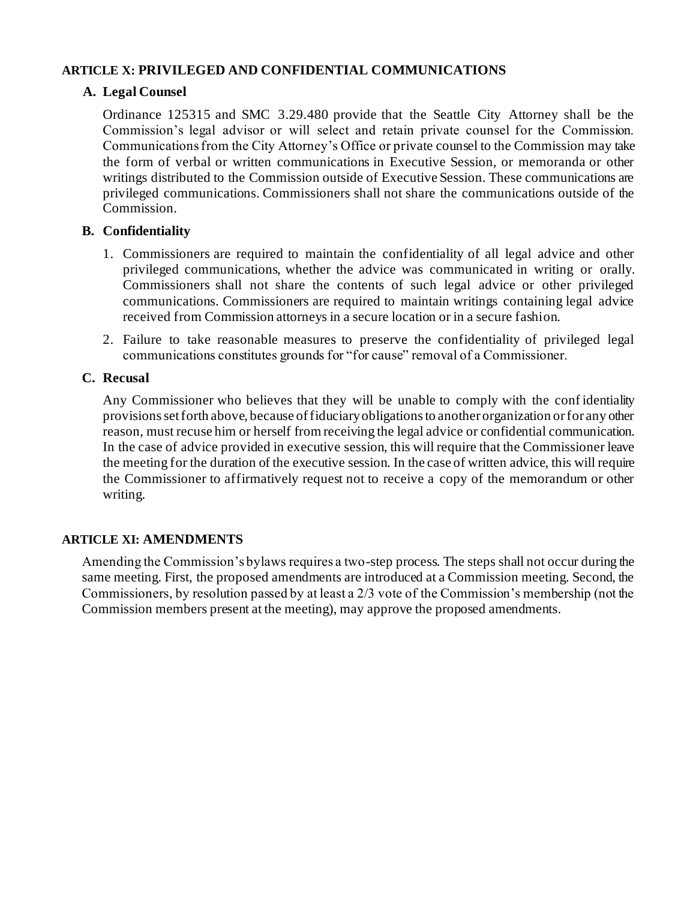## **ARTICLE X: PRIVILEGED AND CONFIDENTIAL COMMUNICATIONS**

## **A. Legal Counsel**

Ordinance 125315 and SMC 3.29.480 provide that the Seattle City Attorney shall be the Commission's legal advisor or will select and retain private counsel for the Commission. Communications from the City Attorney's Office or private counsel to the Commission may take the form of verbal or written communications in Executive Session, or memoranda or other writings distributed to the Commission outside of Executive Session. These communications are privileged communications. Commissioners shall not share the communications outside of the Commission.

## **B. Confidentiality**

- 1. Commissioners are required to maintain the confidentiality of all legal advice and other privileged communications, whether the advice was communicated in writing or orally. Commissioners shall not share the contents of such legal advice or other privileged communications. Commissioners are required to maintain writings containing legal advice received from Commission attorneys in a secure location or in a secure fashion.
- 2. Failure to take reasonable measures to preserve the confidentiality of privileged legal communications constitutes grounds for "for cause" removal of a Commissioner.

## **C. Recusal**

Any Commissioner who believes that they will be unable to comply with the conf identiality provisions set forth above, because of fiduciary obligations to another organization or for any other reason, must recuse him or herself from receiving the legal advice or confidential communication. In the case of advice provided in executive session, this will require that the Commissioner leave the meeting for the duration of the executive session. In the case of written advice, this will require the Commissioner to affirmatively request not to receive a copy of the memorandum or other writing.

#### **ARTICLE XI: AMENDMENTS**

Amending the Commission's bylaws requires a two-step process. The steps shall not occur during the same meeting. First, the proposed amendments are introduced at a Commission meeting. Second, the Commissioners, by resolution passed by at least a 2/3 vote of the Commission's membership (not the Commission members present at the meeting), may approve the proposed amendments.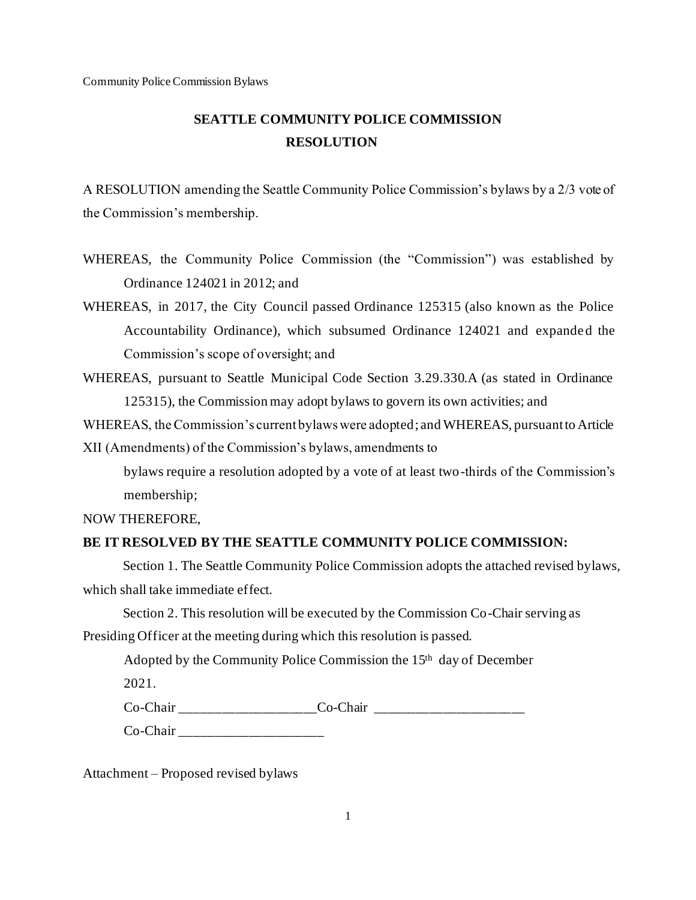# **SEATTLE COMMUNITY POLICE COMMISSION RESOLUTION**

A RESOLUTION amending the Seattle Community Police Commission's bylaws by a 2/3 vote of the Commission's membership.

- WHEREAS, the Community Police Commission (the "Commission") was established by Ordinance 124021 in 2012; and
- WHEREAS, in 2017, the City Council passed Ordinance 125315 (also known as the Police Accountability Ordinance), which subsumed Ordinance 124021 and expanded the Commission's scope of oversight; and
- WHEREAS, pursuant to Seattle Municipal Code Section 3.29.330.A (as stated in Ordinance 125315), the Commission may adopt bylaws to govern its own activities; and
- WHEREAS, the Commission's current bylaws were adopted ; and WHEREAS, pursuant to Article

XII (Amendments) of the Commission's bylaws, amendments to

bylaws require a resolution adopted by a vote of at least two-thirds of the Commission's membership;

NOW THEREFORE,

#### **BE IT RESOLVED BY THE SEATTLE COMMUNITY POLICE COMMISSION:**

Section 1. The Seattle Community Police Commission adopts the attached revised bylaws, which shall take immediate effect.

Section 2. This resolution will be executed by the Commission Co-Chair serving as

Presiding Officer at the meeting during which this resolution is passed.

Adopted by the Community Police Commission the 15th day of December

2021.

Co-Chair Co-Chair Co-Chair Co-Chair Co-Chair Louis Co-Chair Louis Co-Chair Louis Co-Chair Louis Co-Chair Louis Co-Chair Louis Co-Chair Louis Co-Chair Louis Co-Chair Louis Co-Chair Louis Co-Chair Louis Co-Chair Louis Co-Cha

Co-Chair \_\_\_\_\_\_\_\_\_\_\_\_\_\_\_\_\_\_\_\_\_

Attachment – Proposed revised bylaws